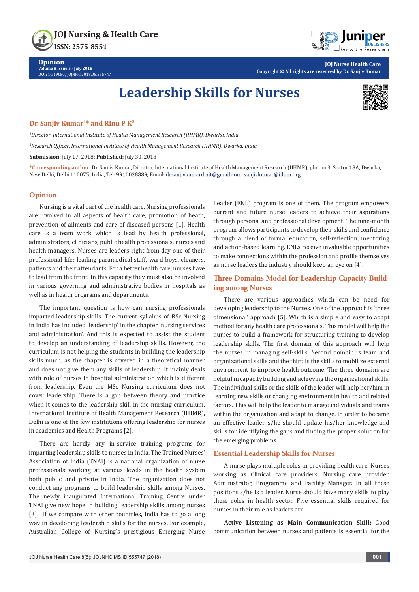JOJ Nursing & Health Care ISSN: 2575-8551



**Opinion Volume 8 Issue 5 - July 2018 DOI:** [10.19080/JOJNHC.2018.08.555747](http://dx.doi.org/10.19080/JOJNHC.2018.08.555747)

**JOJ Nurse Health Care Copyright © All rights are reserved by Dr. Sanjiv Kumar**

# **Leadership Skills for Nurses**



### **Dr. Sanjiv Kumar<sup>1\*</sup> and Rinu P K<sup>2</sup>**

*1 Director, International Institute of Health Management Research (IIHMR), Dwarka, India*

*2 Research Officer, International Institute of Health Management Research (IIHMR), Dwarka, India*

**Submission:** July 17, 2018; **Published:** July 30, 2018

**\*Corresponding author:** Dr. Sanjiv Kumar, Director, International Institute of Health Management Research (IIHMR), plot no 3, Sector 18A, Dwarka, New Delhi, Delhi 110075, India, Tel: 9910028889; Email: drsanjivkumardixit@gmail.com, sanjivkumar@iihmr.org

#### **Opinion**

Nursing is a vital part of the health care. Nursing professionals are involved in all aspects of health care; promotion of heath, prevention of ailments and care of diseased persons [1]. Health care is a team work which is lead by health professional, administrators, clinicians, public health professionals, nurses and health managers. Nurses are leaders right from day one of their professional life; leading paramedical staff, ward boys, cleaners, patients and their attendants. For a better health care, nurses have to lead from the front. In this capacity they must also be involved in various governing and administrative bodies in hospitals as well as in health programs and departments.

The important question is how can nursing professionals imparted leadership skills. The current syllabus of BSc Nursing in India has included 'leadership' in the chapter 'nursing services and administration'. And this is expected to assist the student to develop an understanding of leadership skills. However, the curriculum is not helping the students in building the leadership skills much, as the chapter is covered in a theoretical manner and does not give them any skills of leadership. It mainly deals with role of nurses in hospital administration which is different from leadership. Even the MSc Nursing curriculum does not cover leadership. There is a gap between theory and practice when it comes to the leadership skill in the nursing curriculum. International Institute of Health Management Research (IIHMR), Delhi is one of the few institutions offering leadership for nurses in academics and Health Programs [2].

There are hardly any in-service training programs for imparting leadership skills to nurses in India. The Trained Nurses' Association of India (TNAI) is a national organization of nurse professionals working at various levels in the health system both public and private in India. The organization does not conduct any programs to build leadership skills among Nurses. The newly inaugurated International Training Centre under TNAI give new hope in building leadership skills among nurses [3]. If we compare with other countries, India has to go a long way in developing leadership skills for the nurses. For example, Australian College of Nursing's prestigious Emerging Nurse

Leader (ENL) program is one of them. The program empowers current and future nurse leaders to achieve their aspirations through personal and professional development. The nine-month program allows participants to develop their skills and confidence through a blend of formal education, self-reflection, mentoring and action-based learning. ENLs receive invaluable opportunities to make connections within the profession and profile themselves as nurse leaders the industry should keep an eye on [4].

## **Three Domains Model for Leadership Capacity Building among Nurses**

There are various approaches which can be need for developing leadership to the Nurses. One of the approach is 'three dimensional' approach [5]. Which is a simple and easy to adapt method for any health care professionals. This model will help the nurses to build a framework for structuring training to develop leadership skills. The first domain of this approach will help the nurses in managing self-skills. Second domain is team and organizational skills and the third is the skills to mobilize external environment to improve health outcome. The three domains are helpful in capacity building and achieving the organizational skills. The individual skills or the skills of the leader will help her/him in learning new skills or changing environment in health and related factors. This will help the leader to manage individuals and teams within the organization and adapt to change. In order to became an effective leader, s/he should update his/her knowledge and skills for identifying the gaps and finding the proper solution for the emerging problems.

## **Essential Leadership Skills for Nurses**

A nurse plays multiple roles in providing health care. Nurses working as Clinical care providers, Nursing care provider, Administrator, Programme and Facility Manager. In all these positions s/he is a leader. Nurse should have many skills to play these roles in health sector. Five essential skills required for nurses in their role as leaders are:

**Active Listening as Main Communication Skill:** Good communication between nurses and patients is essential for the